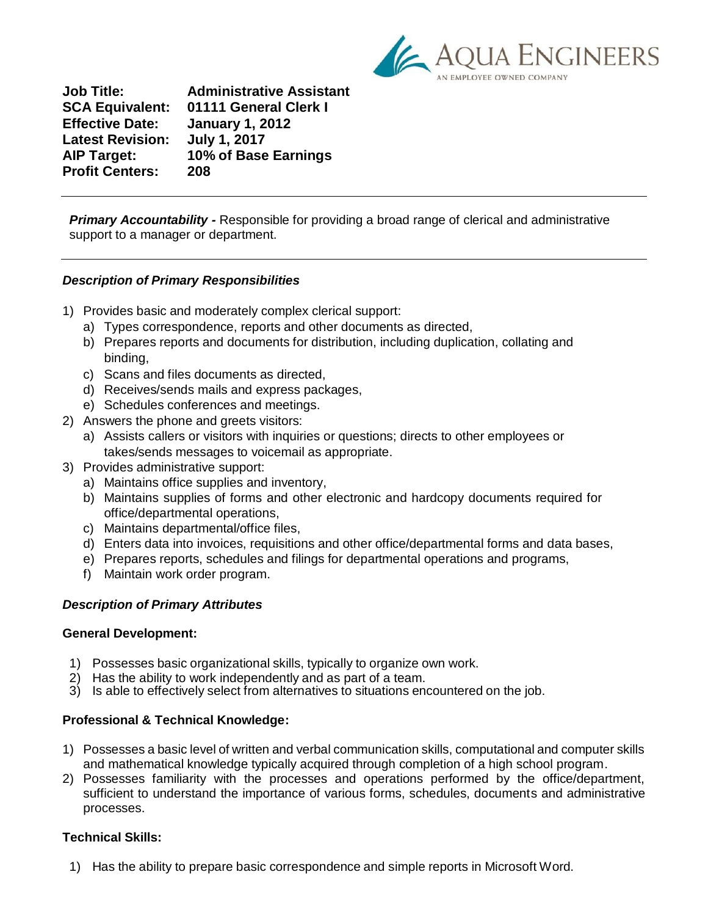

**Job Title: Administrative Assistant SCA Equivalent: 01111 General Clerk I Effective Date: January 1, 2012 Latest Revision: July 1, 2017 AIP Target: 10% of Base Earnings Profit Centers: 208**

**Primary Accountability** - Responsible for providing a broad range of clerical and administrative support to a manager or department.

# *Description of Primary Responsibilities*

- 1) Provides basic and moderately complex clerical support:
	- a) Types correspondence, reports and other documents as directed,
	- b) Prepares reports and documents for distribution, including duplication, collating and binding,
	- c) Scans and files documents as directed,
	- d) Receives/sends mails and express packages,
	- e) Schedules conferences and meetings.
- 2) Answers the phone and greets visitors:
	- a) Assists callers or visitors with inquiries or questions; directs to other employees or takes/sends messages to voicemail as appropriate.
- 3) Provides administrative support:
	- a) Maintains office supplies and inventory,
	- b) Maintains supplies of forms and other electronic and hardcopy documents required for office/departmental operations,
	- c) Maintains departmental/office files,
	- d) Enters data into invoices, requisitions and other office/departmental forms and data bases,
	- e) Prepares reports, schedules and filings for departmental operations and programs,
	- f) Maintain work order program.

# *Description of Primary Attributes*

#### **General Development:**

- 1) Possesses basic organizational skills, typically to organize own work.
- 2) Has the ability to work independently and as part of a team.
- 3) Is able to effectively select from alternatives to situations encountered on the job.

# **Professional & Technical Knowledge:**

- 1) Possesses a basic level of written and verbal communication skills, computational and computer skills and mathematical knowledge typically acquired through completion of a high school program.
- 2) Possesses familiarity with the processes and operations performed by the office/department, sufficient to understand the importance of various forms, schedules, documents and administrative processes.

# **Technical Skills:**

1) Has the ability to prepare basic correspondence and simple reports in Microsoft Word.